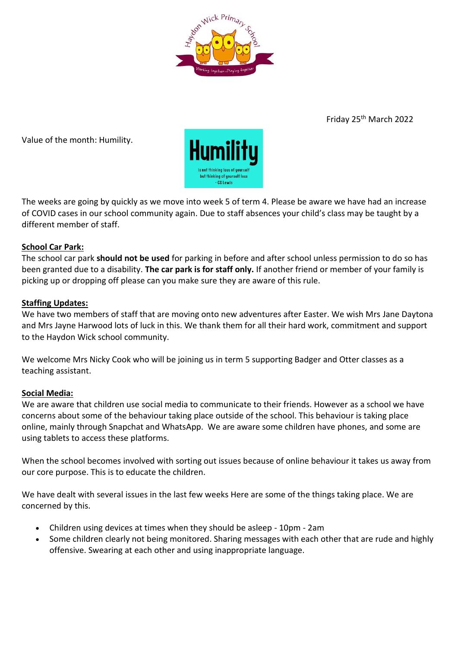

Friday 25th March 2022

Value of the month: Humility.



The weeks are going by quickly as we move into week 5 of term 4. Please be aware we have had an increase of COVID cases in our school community again. Due to staff absences your child's class may be taught by a different member of staff.

# **School Car Park:**

The school car park **should not be used** for parking in before and after school unless permission to do so has been granted due to a disability. **The car park is for staff only.** If another friend or member of your family is picking up or dropping off please can you make sure they are aware of this rule.

# **Staffing Updates:**

We have two members of staff that are moving onto new adventures after Easter. We wish Mrs Jane Daytona and Mrs Jayne Harwood lots of luck in this. We thank them for all their hard work, commitment and support to the Haydon Wick school community.

We welcome Mrs Nicky Cook who will be joining us in term 5 supporting Badger and Otter classes as a teaching assistant.

# **Social Media:**

We are aware that children use social media to communicate to their friends. However as a school we have concerns about some of the behaviour taking place outside of the school. This behaviour is taking place online, mainly through Snapchat and WhatsApp. We are aware some children have phones, and some are using tablets to access these platforms.

When the school becomes involved with sorting out issues because of online behaviour it takes us away from our core purpose. This is to educate the children.

We have dealt with several issues in the last few weeks Here are some of the things taking place. We are concerned by this.

- Children using devices at times when they should be asleep 10pm 2am
- Some children clearly not being monitored. Sharing messages with each other that are rude and highly offensive. Swearing at each other and using inappropriate language.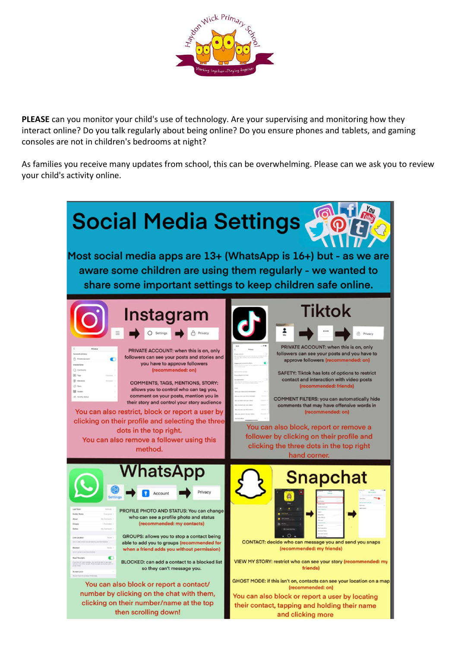

**PLEASE** can you monitor your child's use of technology. Are your supervising and monitoring how they interact online? Do you talk regularly about being online? Do you ensure phones and tablets, and gaming consoles are not in children's bedrooms at night?

As families you receive many updates from school, this can be overwhelming. Please can we ask you to review your child's activity online.

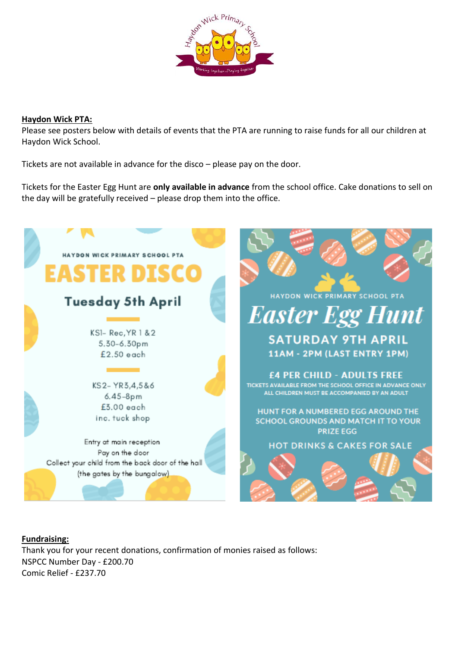

#### **Haydon Wick PTA:**

Please see posters below with details of events that the PTA are running to raise funds for all our children at Haydon Wick School.

Tickets are not available in advance for the disco – please pay on the door.

Tickets for the Easter Egg Hunt are **only available in advance** from the school office. Cake donations to sell on the day will be gratefully received – please drop them into the office.



**Fundraising:**  Thank you for your recent donations, confirmation of monies raised as follows: NSPCC Number Day - £200.70 Comic Relief - £237.70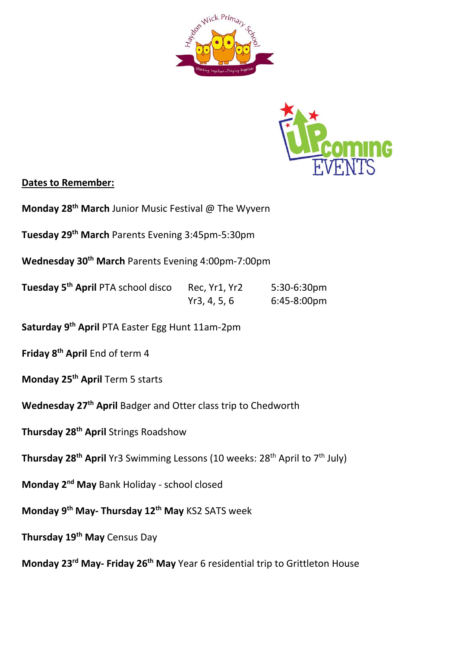



# **Dates to Remember:**

**Monday 28th March** Junior Music Festival @ The Wyvern

**Tuesday 29th March** Parents Evening 3:45pm-5:30pm

**Wednesday 30th March** Parents Evening 4:00pm-7:00pm

**Tuesday 5th April** PTA school disco Rec, Yr1, Yr2 5:30-6:30pm Yr3, 4, 5, 6 6:45-8:00pm

**Saturday 9th April** PTA Easter Egg Hunt 11am-2pm

**Friday 8th April** End of term 4

**Monday 25th April** Term 5 starts

**Wednesday 27th April** Badger and Otter class trip to Chedworth

**Thursday 28th April** Strings Roadshow

**Thursday 28<sup>th</sup> April** Yr3 Swimming Lessons (10 weeks: 28<sup>th</sup> April to 7<sup>th</sup> July)

**Monday 2nd May** Bank Holiday - school closed

**Monday 9th May- Thursday 12th May** KS2 SATS week

**Thursday 19th May** Census Day

**Monday 23rd May- Friday 26th May** Year 6 residential trip to Grittleton House